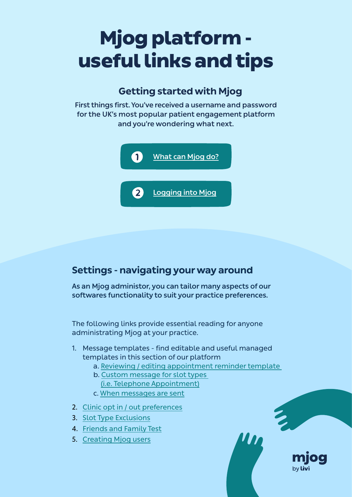# Mjog platform useful links and tips

#### **Getting started with Mjog**

First things first. You've received a username and password for the UK's most popular patient engagement platform and you're wondering what next.



### **Settings - navigating your way around**

As an Mjog administor, you can tailor many aspects of our softwares functionality to suit your practice preferences.

The following links provide essential reading for anyone administrating Mjog at your practice.

- 1. Message templates find editable and useful managed templates in this section of our platform
	- a. [Reviewing / editing appointment reminder template](https://knowledge.mjog.com/en/kb168)
	- b. [Custom message for slot types](https://knowledge.mjog.com/en/kb150)   [\(i.e. Telephone Appointment\)](https://knowledge.mjog.com/en/kb150)
	- c. [When messages are sent](https://knowledge.mjog.com/en/kb76)
- 2. [Clinic opt in / out preferences](https://knowledge.mjog.com/en/kb77)
- 3. [Slot Type Exclusions](https://knowledge.mjog.com/en/kb81)
- 4. [Friends and Family Test](https://knowledge.mjog.com/en/friends-and-family-test)
- 5. [Creating Mjog users](https://knowledge.mjog.com/en/kb94)